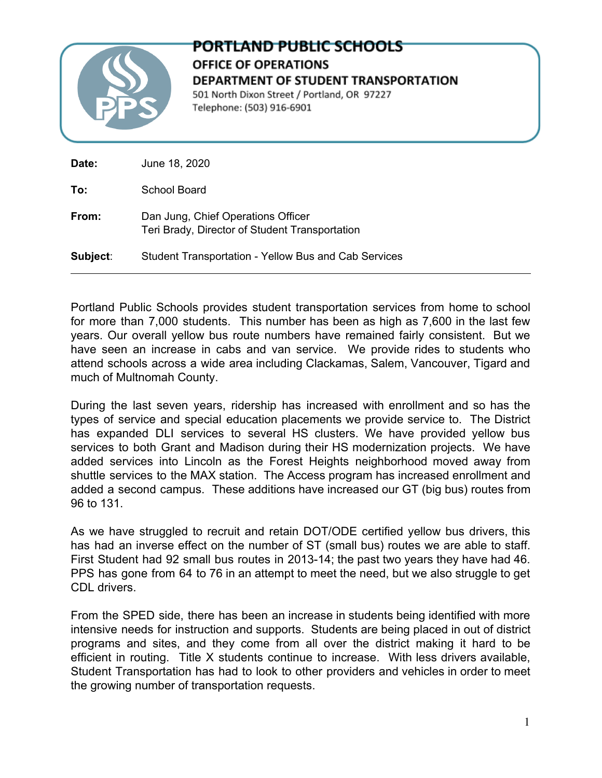

## PORTLAND PUBLIC SCHOOLS OFFICE OF OPERATIONS **DEPARTMENT OF STUDENT TRANSPORTATION** 501 North Dixon Street / Portland, OR 97227 Telephone: (503) 916-6901

| Date:    | June 18, 2020                                                                        |
|----------|--------------------------------------------------------------------------------------|
| To:      | School Board                                                                         |
| From:    | Dan Jung, Chief Operations Officer<br>Teri Brady, Director of Student Transportation |
| Subject: | Student Transportation - Yellow Bus and Cab Services                                 |

Portland Public Schools provides student transportation services from home to school for more than 7,000 students. This number has been as high as 7,600 in the last few years. Our overall yellow bus route numbers have remained fairly consistent. But we have seen an increase in cabs and van service. We provide rides to students who attend schools across a wide area including Clackamas, Salem, Vancouver, Tigard and much of Multnomah County.

During the last seven years, ridership has increased with enrollment and so has the types of service and special education placements we provide service to. The District has expanded DLI services to several HS clusters. We have provided yellow bus services to both Grant and Madison during their HS modernization projects. We have added services into Lincoln as the Forest Heights neighborhood moved away from shuttle services to the MAX station. The Access program has increased enrollment and added a second campus. These additions have increased our GT (big bus) routes from 96 to 131.

As we have struggled to recruit and retain DOT/ODE certified yellow bus drivers, this has had an inverse effect on the number of ST (small bus) routes we are able to staff. First Student had 92 small bus routes in 2013-14; the past two years they have had 46. PPS has gone from 64 to 76 in an attempt to meet the need, but we also struggle to get CDL drivers.

From the SPED side, there has been an increase in students being identified with more intensive needs for instruction and supports. Students are being placed in out of district programs and sites, and they come from all over the district making it hard to be efficient in routing. Title X students continue to increase. With less drivers available, Student Transportation has had to look to other providers and vehicles in order to meet the growing number of transportation requests.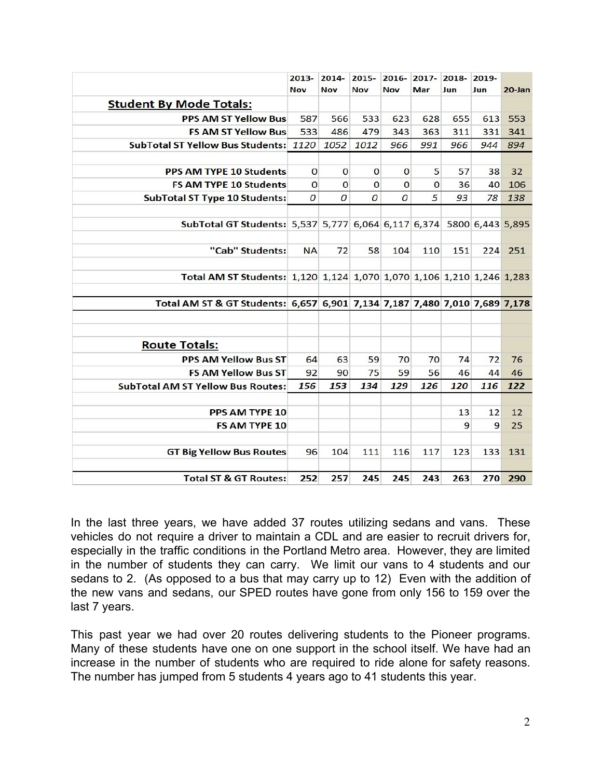|                                                                            | $2013 -$<br><b>Nov</b> | $2014 -$<br><b>Nov</b> | $2015 -$<br><b>Nov</b> | <b>Nov</b>     | 2016-2017-2018-<br>Mar | Jun | 2019-<br>Jun | $20 - Jan$ |
|----------------------------------------------------------------------------|------------------------|------------------------|------------------------|----------------|------------------------|-----|--------------|------------|
| <b>Student By Mode Totals:</b>                                             |                        |                        |                        |                |                        |     |              |            |
| <b>PPS AM ST Yellow Bus</b>                                                | 587                    | 566                    | 533                    | 623            | 628                    | 655 | 613          | 553        |
| <b>FS AM ST Yellow Bus</b>                                                 | 533                    | 486                    | 479                    | 343            | 363                    | 311 | 331          | 341        |
| <b>SubTotal ST Yellow Bus Students: 1120</b>                               |                        | 1052                   | 1012                   | 966            | 991                    | 966 | 944          | 894        |
|                                                                            |                        |                        |                        |                |                        |     |              |            |
| <b>PPS AM TYPE 10 Students</b>                                             | $\mathbf 0$            | $\mathbf 0$            | $\mathbf 0$            | $\mathbf 0$    | 5                      | 57  | 38           | 32         |
| <b>FS AM TYPE 10 Students</b>                                              | $\overline{O}$         | $\mathbf 0$            | $\mathbf{O}$           | $\mathbf 0$    | $\mathbf{O}$           | 36  | 40           | 106        |
| <b>SubTotal ST Type 10 Students:</b>                                       | $\overline{O}$         | 0                      | $\overline{O}$         | $\overline{O}$ | 5                      | 93  | 78           | 138        |
| SubTotal GT Students: 5,537 5,777 6,064 6,117 6,374 5800 6,443 5,895       |                        |                        |                        |                |                        |     |              |            |
| "Cab" Students:                                                            | <b>NA</b>              | 72                     | 58                     | 104            | 110                    | 151 | 224          | 251        |
| Total AM ST Students: 1,120 1,124 1,070 1,070 1,106 1,210 1,246 1,283      |                        |                        |                        |                |                        |     |              |            |
| Total AM ST & GT Students: 6,657 6,901 7,134 7,187 7,480 7,010 7,689 7,178 |                        |                        |                        |                |                        |     |              |            |
| <b>Route Totals:</b>                                                       |                        |                        |                        |                |                        |     |              |            |
| <b>PPS AM Yellow Bus ST</b>                                                | 64                     | 63                     | 59                     | 70             | 70                     | 74  | 72           | 76         |
| <b>FS AM Yellow Bus ST</b>                                                 | 92                     | 90                     | 75                     | 59             | 56                     | 46  | 44           | 46         |
| <b>SubTotal AM ST Yellow Bus Routes:</b>                                   | 156                    | 153                    | 134                    | 129            | 126                    | 120 | 116          | 122        |
| <b>PPS AM TYPE 10</b>                                                      |                        |                        |                        |                |                        | 13  | 12           | 12         |
| <b>FS AM TYPE 10</b>                                                       |                        |                        |                        |                |                        | 9   | 9            | 25         |
| <b>GT Big Yellow Bus Routes</b>                                            | 96                     | 104                    | 111                    | 116            | 117                    | 123 | 133          | 131        |
| <b>Total ST &amp; GT Routes:</b>                                           | 252                    | 257                    | 245                    | 245            | 243                    | 263 | 270          | 290        |

In the last three years, we have added 37 routes utilizing sedans and vans. These vehicles do not require a driver to maintain a CDL and are easier to recruit drivers for, especially in the traffic conditions in the Portland Metro area. However, they are limited in the number of students they can carry. We limit our vans to 4 students and our sedans to 2. (As opposed to a bus that may carry up to 12) Even with the addition of the new vans and sedans, our SPED routes have gone from only 156 to 159 over the last 7 years.

This past year we had over 20 routes delivering students to the Pioneer programs. Many of these students have one on one support in the school itself. We have had an increase in the number of students who are required to ride alone for safety reasons. The number has jumped from 5 students 4 years ago to 41 students this year.